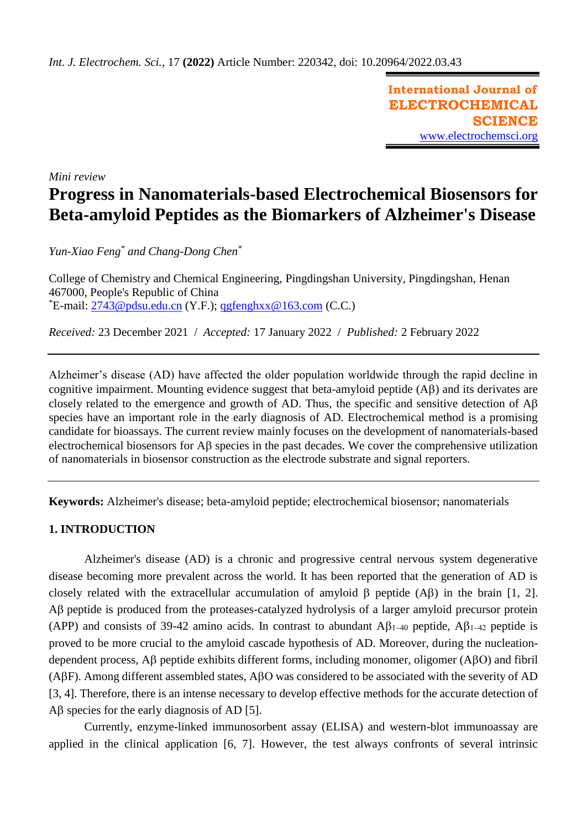**International Journal of ELECTROCHEMICAL SCIENCE** [www.electrochemsci.org](http://www.electrochemsci.org/)

*Mini review*

# **Progress in Nanomaterials-based Electrochemical Biosensors for Beta-amyloid Peptides as the Biomarkers of Alzheimer's Disease**

*Yun-Xiao Feng\* and Chang-Dong Chen\**

College of Chemistry and Chemical Engineering, Pingdingshan University, Pingdingshan, Henan 467000, People's Republic of China  $E$ -mail: [2743@pdsu.edu.cn](mailto:2743@pdsu.edu.cn) (Y.F.); [qgfenghxx@163.com](mailto:qgfenghxx@163.com) (C.C.)

*Received:* 23 December 2021/ *Accepted:* 17 January 2022 / *Published:* 2 February 2022

Alzheimer's disease (AD) have affected the older population worldwide through the rapid decline in cognitive impairment. Mounting evidence suggest that beta-amyloid peptide  $(A\beta)$  and its derivates are closely related to the emergence and growth of AD. Thus, the specific and sensitive detection of  $\mathbf{A}\mathbf{B}$ species have an important role in the early diagnosis of AD. Electrochemical method is a promising candidate for bioassays. The current review mainly focuses on the development of nanomaterials-based electrochemical biosensors for  $\overrightarrow{AB}$  species in the past decades. We cover the comprehensive utilization of nanomaterials in biosensor construction as the electrode substrate and signal reporters.

**Keywords:** Alzheimer's disease; beta-amyloid peptide; electrochemical biosensor; nanomaterials

### **1. INTRODUCTION**

Alzheimer's disease (AD) is a chronic and progressive central nervous system degenerative disease becoming more prevalent across the world. It has been reported that the generation of AD is closely related with the extracellular accumulation of amyloid  $\beta$  peptide (A $\beta$ ) in the brain [1, 2]. AB peptide is produced from the proteases-catalyzed hydrolysis of a larger amyloid precursor protein (APP) and consists of 39-42 amino acids. In contrast to abundant  $A\beta_{1-40}$  peptide,  $A\beta_{1-42}$  peptide is proved to be more crucial to the amyloid cascade hypothesis of AD. Moreover, during the nucleationdependent process,  $\overrightarrow{AB}$  peptide exhibits different forms, including monomer, oligomer ( $\overrightarrow{ABO}$ ) and fibril  $(ABF)$ . Among different assembled states, A $\beta$ O was considered to be associated with the severity of AD [3, 4]. Therefore, there is an intense necessary to develop effective methods for the accurate detection of  $\overrightarrow{AB}$  species for the early diagnosis of AD [5].

Currently, enzyme-linked immunosorbent assay (ELISA) and western-blot immunoassay are applied in the clinical application [6, 7]. However, the test always confronts of several intrinsic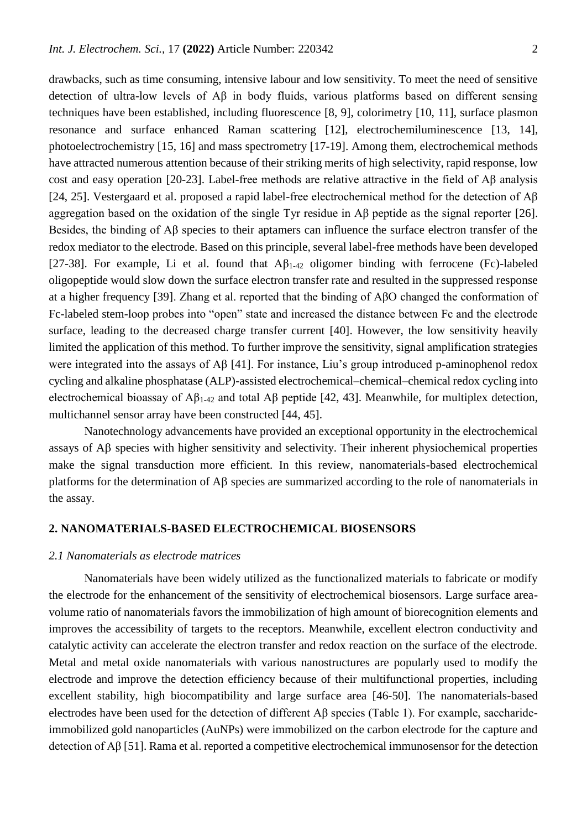drawbacks, such as time consuming, intensive labour and low sensitivity. To meet the need of sensitive detection of ultra-low levels of Aβ in body fluids, various platforms based on different sensing techniques have been established, including fluorescence [8, 9], colorimetry [10, 11], surface plasmon resonance and surface enhanced Raman scattering [12], electrochemiluminescence [13, 14], photoelectrochemistry [15, 16] and mass spectrometry [17-19]. Among them, electrochemical methods have attracted numerous attention because of their striking merits of high selectivity, rapid response, low cost and easy operation [20-23]. Label-free methods are relative attractive in the field of Aβ analysis [24, 25]. Vestergaard et al. proposed a rapid label-free electrochemical method for the detection of Aβ aggregation based on the oxidation of the single Tyr residue in Aβ peptide as the signal reporter [26]. Besides, the binding of Aβ species to their aptamers can influence the surface electron transfer of the redox mediator to the electrode. Based on this principle, several label-free methods have been developed [27-38]. For example, Li et al. found that  $\mathbf{A}\beta_{1-42}$  oligomer binding with ferrocene (Fc)-labeled oligopeptide would slow down the surface electron transfer rate and resulted in the suppressed response at a higher frequency [39]. Zhang et al. reported that the binding of AβO changed the conformation of Fc-labeled stem-loop probes into "open" state and increased the distance between Fc and the electrode surface, leading to the decreased charge transfer current [40]. However, the low sensitivity heavily limited the application of this method. To further improve the sensitivity, signal amplification strategies were integrated into the assays of Aβ [41]. For instance, Liu's group introduced p-aminophenol redox cycling and alkaline phosphatase (ALP)-assisted electrochemical–chemical–chemical redox cycling into electrochemical bioassay of  $\mathsf{A}\beta_{1-42}$  and total  $\mathsf{A}\beta$  peptide [42, 43]. Meanwhile, for multiplex detection, multichannel sensor array have been constructed [44, 45].

Nanotechnology advancements have provided an exceptional opportunity in the electrochemical assays of  $A\beta$  species with higher sensitivity and selectivity. Their inherent physiochemical properties make the signal transduction more efficient. In this review, nanomaterials-based electrochemical platforms for the determination of  $\overrightarrow{AB}$  species are summarized according to the role of nanomaterials in the assay.

#### **2. NANOMATERIALS-BASED ELECTROCHEMICAL BIOSENSORS**

## *2.1 Nanomaterials as electrode matrices*

Nanomaterials have been widely utilized as the functionalized materials to fabricate or modify the electrode for the enhancement of the sensitivity of electrochemical biosensors. Large surface areavolume ratio of nanomaterials favors the immobilization of high amount of biorecognition elements and improves the accessibility of targets to the receptors. Meanwhile, excellent electron conductivity and catalytic activity can accelerate the electron transfer and redox reaction on the surface of the electrode. Metal and metal oxide nanomaterials with various nanostructures are popularly used to modify the electrode and improve the detection efficiency because of their multifunctional properties, including excellent stability, high biocompatibility and large surface area [46-50]. The nanomaterials-based electrodes have been used for the detection of different Aβ species (Table 1). For example, saccharideimmobilized gold nanoparticles (AuNPs) were immobilized on the carbon electrode for the capture and detection of Aβ [51]. Rama et al. reported a competitive electrochemical immunosensor for the detection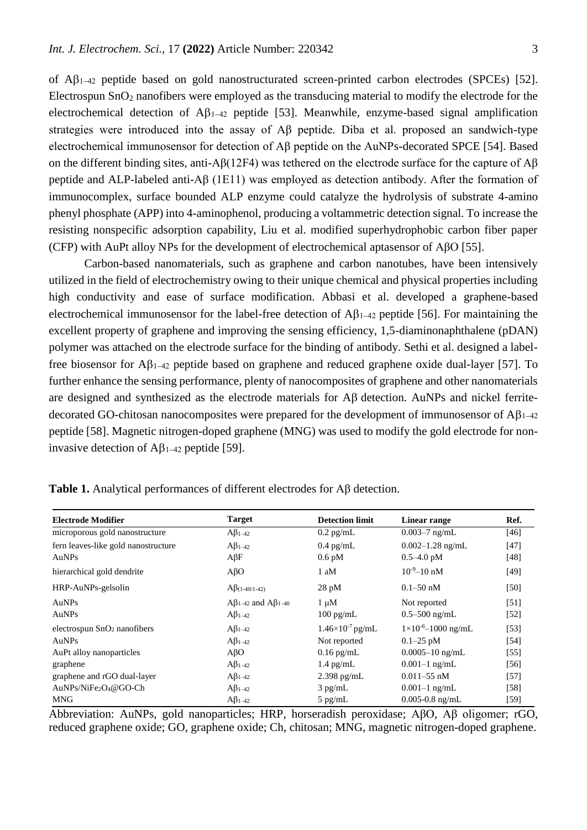of  $\mathbf{A}\beta_{1-42}$  peptide based on gold nanostructurated screen-printed carbon electrodes (SPCEs) [52]. Electrospun  $SnO<sub>2</sub>$  nanofibers were employed as the transducing material to modify the electrode for the electrochemical detection of  $\mathbf{A}\beta_{1-42}$  peptide [53]. Meanwhile, enzyme-based signal amplification strategies were introduced into the assay of Aβ peptide. Diba et al. proposed an sandwich-type electrochemical immunosensor for detection of Aβ peptide on the AuNPs-decorated SPCE [54]. Based on the different binding sites, anti-Aβ(12F4) was tethered on the electrode surface for the capture of  $\mathbf{A}\mathbf{B}$ peptide and ALP-labeled anti-Aβ (1E11) was employed as detection antibody. After the formation of immunocomplex, surface bounded ALP enzyme could catalyze the hydrolysis of substrate 4-amino phenyl phosphate (APP) into 4-aminophenol, producing a voltammetric detection signal. To increase the resisting nonspecific adsorption capability, Liu et al. modified superhydrophobic carbon fiber paper (CFP) with AuPt alloy NPs for the development of electrochemical aptasensor of AβO [55].

Carbon-based nanomaterials, such as graphene and carbon nanotubes, have been intensively utilized in the field of electrochemistry owing to their unique chemical and physical properties including high conductivity and ease of surface modification. Abbasi et al. developed a graphene-based electrochemical immunosensor for the label-free detection of  $\mathbf{A}\beta_{1-42}$  peptide [56]. For maintaining the excellent property of graphene and improving the sensing efficiency, 1,5-diaminonaphthalene (pDAN) polymer was attached on the electrode surface for the binding of antibody. Sethi et al. designed a labelfree biosensor for  $\mathbf{A}\mathbf{B}_{1-42}$  peptide based on graphene and reduced graphene oxide dual-layer [57]. To further enhance the sensing performance, plenty of nanocomposites of graphene and other nanomaterials are designed and synthesized as the electrode materials for  $\mathsf{AB}$  detection. AuNPs and nickel ferritedecorated GO-chitosan nanocomposites were prepared for the development of immunosensor of  $\mathbf{A}\beta_{1-42}$ peptide [58]. Magnetic nitrogen-doped graphene (MNG) was used to modify the gold electrode for noninvasive detection of  $\mathbf{AB}_{1-42}$  peptide [59].

| <b>Electrode Modifier</b>           | <b>Target</b>                       | <b>Detection limit</b>   | Linear range                    | Ref.              |
|-------------------------------------|-------------------------------------|--------------------------|---------------------------------|-------------------|
| microporous gold nanostructure      | $A\beta_{1-42}$                     | $0.2$ pg/mL              | $0.003 - 7$ ng/mL               | $[46]$            |
| fern leaves-like gold nanostructure | $A\beta_{1-42}$                     | $0.4$ pg/mL              | $0.002 - 1.28$ ng/mL            | $[47]$            |
| AuNPs                               | $A\beta F$                          | $0.6$ pM                 | $0.5 - 4.0$ pM                  | $[48]$            |
| hierarchical gold dendrite          | $A\beta$ O                          | 1 aM                     | $10^{-9} - 10$ nM               | [49]              |
| HRP-AuNPs-gelsolin                  | $A\beta_{(1-40/1-42)}$              | $28 \text{ pM}$          | $0.1 - 50$ nM                   | $[50]$            |
| AuNPs                               | $A\beta_{1-42}$ and $A\beta_{1-40}$ | $1 \mu M$                | Not reported                    | $[51]$            |
| AuNPs                               | $A\beta_{1-42}$                     | $100 \text{ pg/mL}$      | $0.5 - 500$ ng/mL               | $[52]$            |
| electrospun $SnO2$ nanofibers       | $A\beta_{1-42}$                     | $1.46\times10^{7}$ pg/mL | $1 \times 10^{-6} - 1000$ ng/mL | $\left[53\right]$ |
| AuNPs                               | $A\beta_{1-42}$                     | Not reported             | $0.1 - 25$ pM                   | [54]              |
| AuPt alloy nanoparticles            | $A\beta$ O                          | $0.16$ pg/mL             | $0.0005 - 10$ ng/mL             | $[55]$            |
| graphene                            | $A\beta_{1-42}$                     | $1.4$ pg/mL              | $0.001 - 1$ ng/mL               | [56]              |
| graphene and rGO dual-layer         | $A\beta_{1-42}$                     | $2.398$ pg/mL            | $0.011 - 55$ nM                 | [57]              |
| AuNPs/NiFe2O4@GO-Ch                 | $A\beta_{1-42}$                     | $3$ pg/mL                | $0.001 - 1$ ng/mL               | [58]              |
| <b>MNG</b>                          | $A\beta_{1-42}$                     | $5$ pg/mL                | $0.005 - 0.8$ ng/mL             | [59]              |

**Table 1.** Analytical performances of different electrodes for Aβ detection.

Abbreviation: AuNPs, gold nanoparticles; HRP, horseradish peroxidase; AβO, Aβ oligomer; rGO, reduced graphene oxide; GO, graphene oxide; Ch, chitosan; MNG, magnetic nitrogen-doped graphene.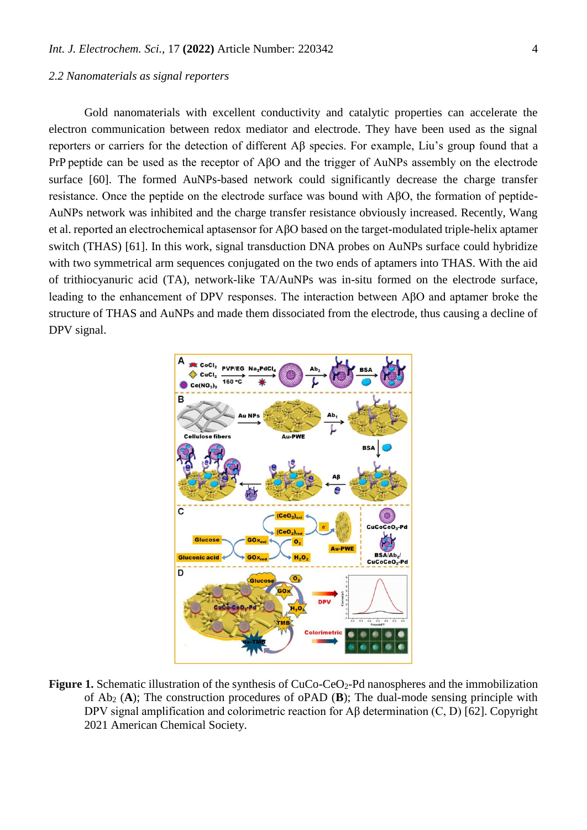#### *2.2 Nanomaterials as signal reporters*

Gold nanomaterials with excellent conductivity and catalytic properties can accelerate the electron communication between redox mediator and electrode. They have been used as the signal reporters or carriers for the detection of different Aβ species. For example, Liu's group found that a PrP peptide can be used as the receptor of AβO and the trigger of AuNPs assembly on the electrode surface [60]. The formed AuNPs-based network could significantly decrease the charge transfer resistance. Once the peptide on the electrode surface was bound with AβO, the formation of peptide-AuNPs network was inhibited and the charge transfer resistance obviously increased. Recently, Wang et al. reported an electrochemical aptasensor for AβO based on the target-modulated triple-helix aptamer switch (THAS) [61]. In this work, signal transduction DNA probes on AuNPs surface could hybridize with two symmetrical arm sequences conjugated on the two ends of aptamers into THAS. With the aid of trithiocyanuric acid (TA), network-like TA/AuNPs was in-situ formed on the electrode surface, leading to the enhancement of DPV responses. The interaction between AβO and aptamer broke the structure of THAS and AuNPs and made them dissociated from the electrode, thus causing a decline of DPV signal.



Figure 1. Schematic illustration of the synthesis of CuCo-CeO<sub>2</sub>-Pd nanospheres and the immobilization of Ab<sup>2</sup> (**A**); The construction procedures of oPAD (**B**); The dual-mode sensing principle with DPV signal amplification and colorimetric reaction for Aβ determination (C, D) [62]. Copyright 2021 American Chemical Society.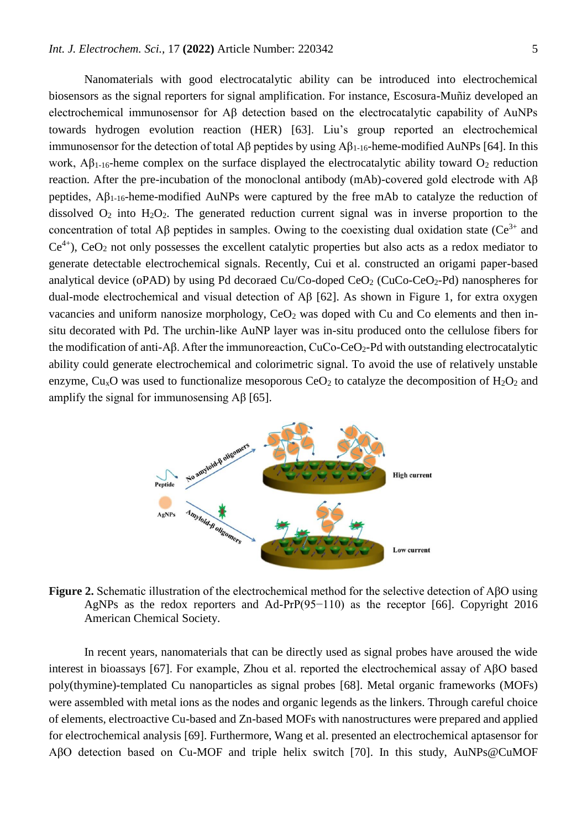Nanomaterials with good electrocatalytic ability can be introduced into electrochemical biosensors as the signal reporters for signal amplification. For instance, Escosura-Muñiz developed an electrochemical immunosensor for Aβ detection based on the electrocatalytic capability of AuNPs towards hydrogen evolution reaction (HER) [63]. Liu's group reported an electrochemical immunosensor for the detection of total Aβ peptides by using  $\mathbb{A}\beta_{1-16}$ -heme-modified AuNPs [64]. In this work,  $\mathbf{A}\beta_{1-16}$ -heme complex on the surface displayed the electrocatalytic ability toward  $\mathbf{O}_2$  reduction reaction. After the pre-incubation of the monoclonal antibody (mAb)-covered gold electrode with Aβ peptides,  $A\beta_{1-16}$ -heme-modified AuNPs were captured by the free mAb to catalyze the reduction of dissolved  $O_2$  into  $H_2O_2$ . The generated reduction current signal was in inverse proportion to the concentration of total Aβ peptides in samples. Owing to the coexisting dual oxidation state ( $Ce^{3+}$  and  $Ce<sup>4+</sup>$ ,  $CeO<sub>2</sub>$  not only possesses the excellent catalytic properties but also acts as a redox mediator to generate detectable electrochemical signals. Recently, Cui et al. constructed an origami paper-based analytical device (oPAD) by using Pd decoraed  $Cu/Co$ -doped  $CeO<sub>2</sub>$  (CuCo-CeO<sub>2</sub>-Pd) nanospheres for dual-mode electrochemical and visual detection of Aβ [62]. As shown in Figure 1, for extra oxygen vacancies and uniform nanosize morphology,  $CeO<sub>2</sub>$  was doped with Cu and Co elements and then insitu decorated with Pd. The urchin-like AuNP layer was in-situ produced onto the cellulose fibers for the modification of anti-Aβ. After the immunoreaction, CuCo-CeO<sub>2</sub>-Pd with outstanding electrocatalytic ability could generate electrochemical and colorimetric signal. To avoid the use of relatively unstable enzyme, Cu<sub>x</sub>O was used to functionalize mesoporous CeO<sub>2</sub> to catalyze the decomposition of H<sub>2</sub>O<sub>2</sub> and amplify the signal for immunosensing  $\widehat{AB}$  [65].



**Figure 2.** Schematic illustration of the electrochemical method for the selective detection of AβO using AgNPs as the redox reporters and Ad-PrP(95−110) as the receptor [66]. Copyright 2016 American Chemical Society.

In recent years, nanomaterials that can be directly used as signal probes have aroused the wide interest in bioassays [67]. For example, Zhou et al. reported the electrochemical assay of AβO based poly(thymine)-templated Cu nanoparticles as signal probes [68]. Metal organic frameworks (MOFs) were assembled with metal ions as the nodes and organic legends as the linkers. Through careful choice of elements, electroactive Cu-based and Zn-based MOFs with nanostructures were prepared and applied for electrochemical analysis [69]. Furthermore, Wang et al. presented an electrochemical aptasensor for AβO detection based on Cu-MOF and triple helix switch [70]. In this study, AuNPs@CuMOF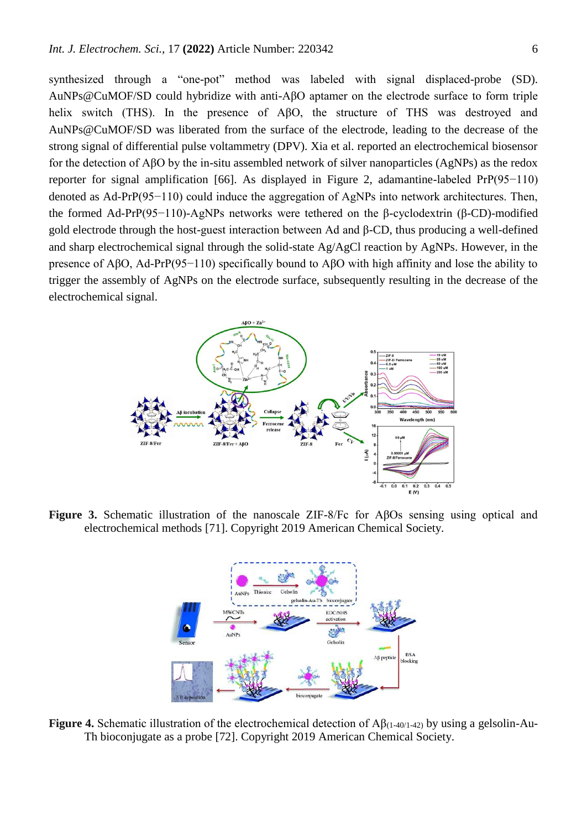synthesized through a "one-pot" method was labeled with signal displaced-probe (SD). AuNPs@CuMOF/SD could hybridize with anti-AβO aptamer on the electrode surface to form triple helix switch (THS). In the presence of AβO, the structure of THS was destroyed and AuNPs@CuMOF/SD was liberated from the surface of the electrode, leading to the decrease of the strong signal of differential pulse voltammetry (DPV). Xia et al. reported an electrochemical biosensor for the detection of AβO by the in-situ assembled network of silver nanoparticles (AgNPs) as the redox reporter for signal amplification [66]. As displayed in Figure 2, adamantine-labeled PrP(95−110) denoted as Ad-PrP(95−110) could induce the aggregation of AgNPs into network architectures. Then, the formed Ad-PrP(95−110)-AgNPs networks were tethered on the β-cyclodextrin (β-CD)-modified gold electrode through the host-guest interaction between Ad and β-CD, thus producing a well-defined and sharp electrochemical signal through the solid-state Ag/AgCl reaction by AgNPs. However, in the presence of AβO, Ad-PrP(95−110) specifically bound to AβO with high affinity and lose the ability to trigger the assembly of AgNPs on the electrode surface, subsequently resulting in the decrease of the electrochemical signal.



**Figure 3.** Schematic illustration of the nanoscale ZIF-8/Fc for AβOs sensing using optical and electrochemical methods [71]. Copyright 2019 American Chemical Society.



**Figure 4.** Schematic illustration of the electrochemical detection of Aβ(1-40/1-42) by using a gelsolin-Au-Th bioconjugate as a probe [72]. Copyright 2019 American Chemical Society.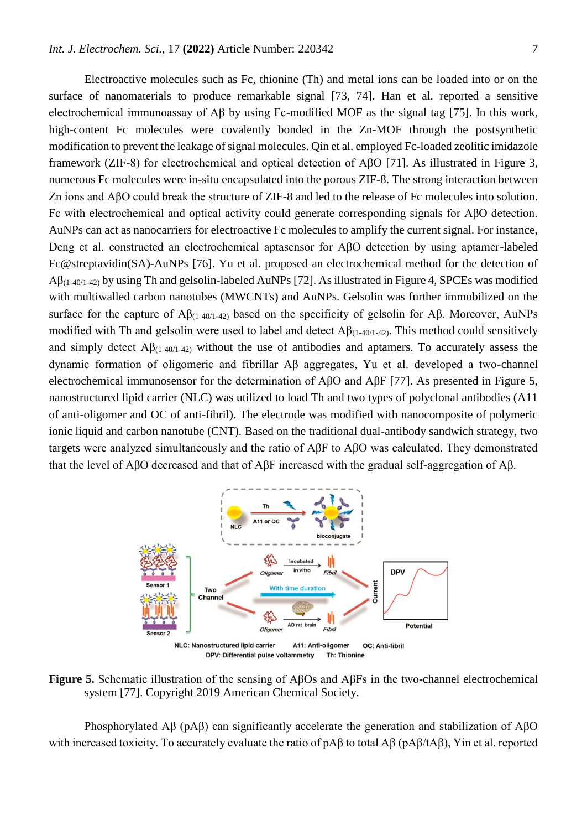Electroactive molecules such as Fc, thionine (Th) and metal ions can be loaded into or on the surface of nanomaterials to produce remarkable signal [73, 74]. Han et al. reported a sensitive electrochemical immunoassay of Aβ by using Fc-modified MOF as the signal tag [75]. In this work, high-content Fc molecules were covalently bonded in the Zn-MOF through the postsynthetic modification to prevent the leakage of signal molecules. Qin et al. employed Fc-loaded zeolitic imidazole framework (ZIF-8) for electrochemical and optical detection of AβO [71]. As illustrated in Figure 3, numerous Fc molecules were in-situ encapsulated into the porous ZIF-8. The strong interaction between Zn ions and AβO could break the structure of ZIF-8 and led to the release of Fc molecules into solution. Fc with electrochemical and optical activity could generate corresponding signals for AβO detection. AuNPs can act as nanocarriers for electroactive Fc molecules to amplify the current signal. For instance, Deng et al. constructed an electrochemical aptasensor for AβO detection by using aptamer-labeled Fc@streptavidin(SA)-AuNPs [76]. Yu et al. proposed an electrochemical method for the detection of  $A\beta_{(1-40/1-42)}$  by using Th and gelsolin-labeled AuNPs [72]. As illustrated in Figure 4, SPCEs was modified with multiwalled carbon nanotubes (MWCNTs) and AuNPs. Gelsolin was further immobilized on the surface for the capture of  $\mathbf{A}\beta_{(1-40/1-42)}$  based on the specificity of gelsolin for  $\mathbf{A}\beta$ . Moreover, AuNPs modified with Th and gelsolin were used to label and detect  $\mathbf{A}\beta_{(1-40/1-42)}$ . This method could sensitively and simply detect  $\mathcal{A}\beta_{(1-40/1-42)}$  without the use of antibodies and aptamers. To accurately assess the dynamic formation of oligomeric and fibrillar Aβ aggregates, Yu et al. developed a two-channel electrochemical immunosensor for the determination of AβO and AβF [77]. As presented in Figure 5, nanostructured lipid carrier (NLC) was utilized to load Th and two types of polyclonal antibodies (A11 of anti-oligomer and OC of anti-fibril). The electrode was modified with nanocomposite of polymeric ionic liquid and carbon nanotube (CNT). Based on the traditional dual-antibody sandwich strategy, two targets were analyzed simultaneously and the ratio of AβF to AβO was calculated. They demonstrated that the level of AβO decreased and that of AβF increased with the gradual self-aggregation of Aβ.



**Figure 5.** Schematic illustration of the sensing of AβOs and AβFs in the two-channel electrochemical system [77]. Copyright 2019 American Chemical Society.

Phosphorylated Aβ (pAβ) can significantly accelerate the generation and stabilization of AβO with increased toxicity. To accurately evaluate the ratio of pAβ to total Aβ (pAβ/tAβ), Yin et al. reported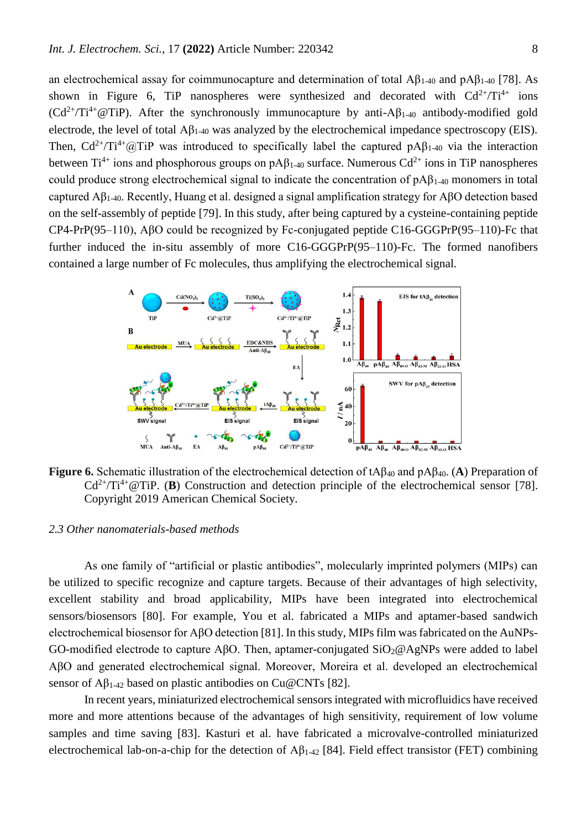an electrochemical assay for coimmunocapture and determination of total  $A\beta_{1-40}$  and  $pA\beta_{1-40}$  [78]. As shown in Figure 6, TiP nanospheres were synthesized and decorated with  $Cd^{2+}/Ti^{4+}$  ions  $(Cd^{2+}/Ti^{4+}@Tip)$ . After the synchronously immunocapture by anti-A $\beta_{1-40}$  antibody-modified gold electrode, the level of total  $\mathbf{A}\beta_{1-40}$  was analyzed by the electrochemical impedance spectroscopy (EIS). Then,  $Cd^{2+}/Ti^{4+}@TiP$  was introduced to specifically label the captured pA $\beta_{1-40}$  via the interaction between Ti<sup>4+</sup> ions and phosphorous groups on pA $\beta_{1-40}$  surface. Numerous Cd<sup>2+</sup> ions in TiP nanospheres could produce strong electrochemical signal to indicate the concentration of  $pA\beta_{1-40}$  monomers in total captured Aβ1-40. Recently, Huang et al. designed a signal amplification strategy for AβO detection based on the self-assembly of peptide [79]. In this study, after being captured by a cysteine-containing peptide CP4-PrP(95–110), AβO could be recognized by Fc-conjugated peptide C16-GGGPrP(95–110)-Fc that further induced the in-situ assembly of more C16-GGGPrP(95–110)-Fc. The formed nanofibers contained a large number of Fc molecules, thus amplifying the electrochemical signal.



**Figure 6.** Schematic illustration of the electrochemical detection of tAβ<sup>40</sup> and pAβ40. (**A**) Preparation of  $Cd^{2+}/Ti^{4+}$  @TiP. (**B**) Construction and detection principle of the electrochemical sensor [78]. Copyright 2019 American Chemical Society.

#### *2.3 Other nanomaterials-based methods*

As one family of "artificial or plastic antibodies", molecularly imprinted polymers (MIPs) can be utilized to specific recognize and capture targets. Because of their advantages of high selectivity, excellent stability and broad applicability, MIPs have been integrated into electrochemical sensors/biosensors [80]. For example, You et al. fabricated a MIPs and aptamer-based sandwich electrochemical biosensor for AβO detection [81]. In this study, MIPs film was fabricated on the AuNPs-GO-modified electrode to capture AβO. Then, aptamer-conjugated  $SiO_2@AgNPs$  were added to label AβO and generated electrochemical signal. Moreover, Moreira et al. developed an electrochemical sensor of  $A\beta_{1-42}$  based on plastic antibodies on Cu@CNTs [82].

In recent years, miniaturized electrochemical sensors integrated with microfluidics have received more and more attentions because of the advantages of high sensitivity, requirement of low volume samples and time saving [83]. Kasturi et al. have fabricated a microvalve-controlled miniaturized electrochemical lab-on-a-chip for the detection of  $\mathbf{A}\beta_{1-42}$  [84]. Field effect transistor (FET) combining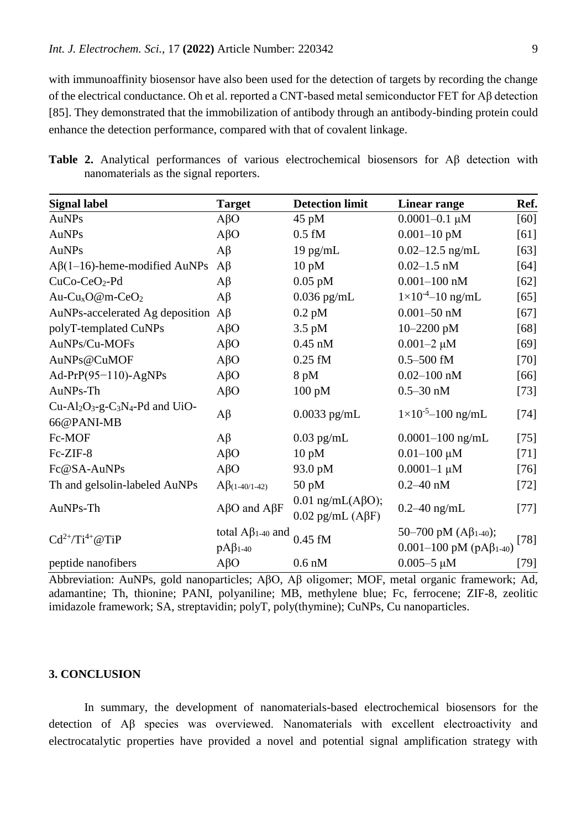with immunoaffinity biosensor have also been used for the detection of targets by recording the change of the electrical conductance. Oh et al. reported a CNT-based metal semiconductor FET for Aβ detection [85]. They demonstrated that the immobilization of antibody through an antibody-binding protein could enhance the detection performance, compared with that of covalent linkage.

**Table 2.** Analytical performances of various electrochemical biosensors for Aβ detection with nanomaterials as the signal reporters.

| <b>Signal label</b>                         | <b>Target</b>                                 | <b>Detection limit</b>                                   | <b>Linear range</b>                                                          | Ref.   |
|---------------------------------------------|-----------------------------------------------|----------------------------------------------------------|------------------------------------------------------------------------------|--------|
| AuNPs                                       | $A\beta$ O                                    | $45 \text{ pM}$                                          | $0.0001 - 0.1 \mu M$                                                         | [60]   |
| <b>AuNPs</b>                                | $A\beta$ O                                    | $0.5$ fM                                                 | $0.001 - 10$ pM                                                              | [61]   |
| AuNPs                                       | $A\beta$                                      | $19$ pg/mL                                               | $0.02 - 12.5$ ng/mL                                                          | $[63]$ |
| $A\beta(1-16)$ -heme-modified AuNPs         | $A\beta$                                      | $10$ pM                                                  | $0.02 - 1.5$ nM                                                              | $[64]$ |
| CuCo-CeO <sub>2</sub> -Pd                   | $A\beta$                                      | $0.05$ pM                                                | $0.001 - 100$ nM                                                             | $[62]$ |
| Au-Cu <sub>x</sub> O@m-CeO <sub>2</sub>     | $A\beta$                                      | $0.036$ pg/mL                                            | $1 \times 10^{-4} - 10$ ng/mL                                                | [65]   |
| AuNPs-accelerated Ag deposition             | $A\beta$                                      | $0.2$ pM                                                 | $0.001 - 50$ nM                                                              | $[67]$ |
| polyT-templated CuNPs                       | $A\beta$ O                                    | $3.5 \text{ pM}$                                         | 10-2200 pM                                                                   | [68]   |
| AuNPs/Cu-MOFs                               | $A\beta$ O                                    | $0.45$ nM                                                | $0.001 - 2 \mu M$                                                            | $[69]$ |
| AuNPs@CuMOF                                 | $A\beta$ O                                    | $0.25$ fM                                                | $0.5 - 500$ fM                                                               | $[70]$ |
| Ad-PrP $(95-110)$ -AgNPs                    | $A\beta$ O                                    | $8$ pM                                                   | $0.02 - 100$ nM                                                              | $[66]$ |
| AuNPs-Th                                    | $A\beta$ O                                    | 100 pM                                                   | $0.5 - 30$ nM                                                                | $[73]$ |
| $Cu-Al2O3-g-C3N4-Pd$ and UiO-<br>66@PANI-MB | $A\beta$                                      | $0.0033$ pg/mL                                           | $1 \times 10^{-5} - 100$ ng/mL                                               | $[74]$ |
| Fc-MOF                                      | $A\beta$                                      | $0.03$ pg/mL                                             | $0.0001 - 100$ ng/mL                                                         | $[75]$ |
| Fc-ZIF-8                                    | $A\beta$ O                                    | $10$ pM                                                  | $0.01 - 100 \mu M$                                                           | $[71]$ |
| Fc@SA-AuNPs                                 | $A\beta$ O                                    | 93.0 pM                                                  | $0.0001 - 1 \mu M$                                                           | $[76]$ |
| Th and gelsolin-labeled AuNPs               | $A\beta_{(1-40/1-42)}$                        | $50$ pM                                                  | $0.2 - 40$ nM                                                                | $[72]$ |
| AuNPs-Th                                    | $A\beta$ O and $A\beta$ F                     | $0.01$ ng/mL(A $\beta$ O);<br>$0.02$ pg/mL (A $\beta$ F) | $0.2 - 40$ ng/mL                                                             | $[77]$ |
| $Cd^{2+}/Ti^{4+}@Tip$                       | total $A\beta_{1-40}$ and<br>$pA\beta_{1-40}$ | $0.45$ fM                                                | 50–700 pM $(A\beta_{1-40})$ ;<br>$[78]$<br>0.001-100 pM (pA $\beta_{1-40}$ ) |        |
| peptide nanofibers                          | $A\beta$ O                                    | $0.6$ nM                                                 | $0.005 - 5 \mu M$                                                            | $[79]$ |

Abbreviation: AuNPs, gold nanoparticles; AβO, Aβ oligomer; MOF, metal organic framework; Ad, adamantine; Th, thionine; PANI, polyaniline; MB, methylene blue; Fc, ferrocene; ZIF-8, zeolitic imidazole framework; SA, streptavidin; polyT, poly(thymine); CuNPs, Cu nanoparticles.

## **3. CONCLUSION**

In summary, the development of nanomaterials-based electrochemical biosensors for the detection of Aβ species was overviewed. Nanomaterials with excellent electroactivity and electrocatalytic properties have provided a novel and potential signal amplification strategy with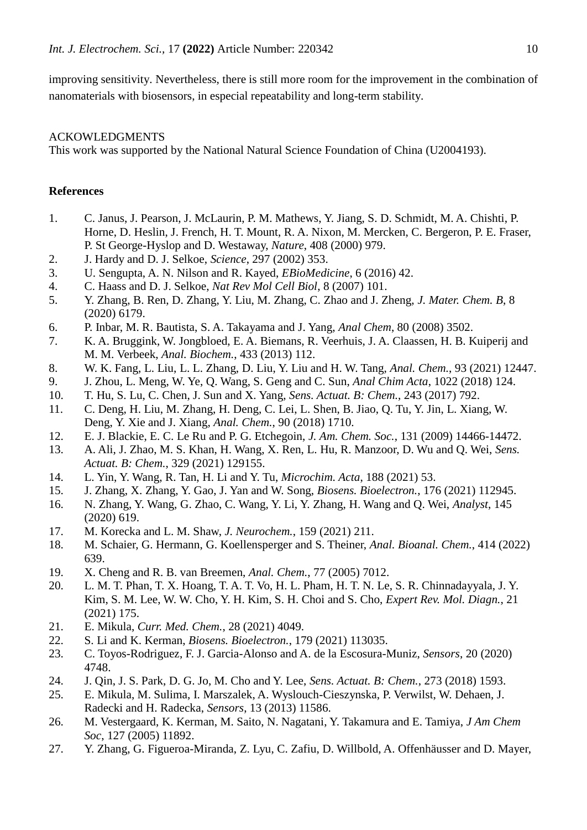improving sensitivity. Nevertheless, there is still more room for the improvement in the combination of nanomaterials with biosensors, in especial repeatability and long-term stability.

# ACKOWLEDGMENTS

This work was supported by the National Natural Science Foundation of China (U2004193).

# **References**

- 1. C. Janus, J. Pearson, J. McLaurin, P. M. Mathews, Y. Jiang, S. D. Schmidt, M. A. Chishti, P. Horne, D. Heslin, J. French, H. T. Mount, R. A. Nixon, M. Mercken, C. Bergeron, P. E. Fraser, P. St George-Hyslop and D. Westaway, *Nature*, 408 (2000) 979.
- 2. J. Hardy and D. J. Selkoe, *Science*, 297 (2002) 353.
- 3. U. Sengupta, A. N. Nilson and R. Kayed, *EBioMedicine*, 6 (2016) 42.
- 4. C. Haass and D. J. Selkoe, *Nat Rev Mol Cell Biol*, 8 (2007) 101.
- 5. Y. Zhang, B. Ren, D. Zhang, Y. Liu, M. Zhang, C. Zhao and J. Zheng, *J. Mater. Chem. B*, 8 (2020) 6179.
- 6. P. Inbar, M. R. Bautista, S. A. Takayama and J. Yang, *Anal Chem*, 80 (2008) 3502.
- 7. K. A. Bruggink, W. Jongbloed, E. A. Biemans, R. Veerhuis, J. A. Claassen, H. B. Kuiperij and M. M. Verbeek, *Anal. Biochem.*, 433 (2013) 112.
- 8. W. K. Fang, L. Liu, L. L. Zhang, D. Liu, Y. Liu and H. W. Tang, *Anal. Chem.*, 93 (2021) 12447.
- 9. J. Zhou, L. Meng, W. Ye, Q. Wang, S. Geng and C. Sun, *Anal Chim Acta*, 1022 (2018) 124.
- 10. T. Hu, S. Lu, C. Chen, J. Sun and X. Yang, *Sens. Actuat. B: Chem.*, 243 (2017) 792.
- 11. C. Deng, H. Liu, M. Zhang, H. Deng, C. Lei, L. Shen, B. Jiao, Q. Tu, Y. Jin, L. Xiang, W. Deng, Y. Xie and J. Xiang, *Anal. Chem.*, 90 (2018) 1710.
- 12. E. J. Blackie, E. C. Le Ru and P. G. Etchegoin, *J. Am. Chem. Soc.*, 131 (2009) 14466-14472.
- 13. A. Ali, J. Zhao, M. S. Khan, H. Wang, X. Ren, L. Hu, R. Manzoor, D. Wu and Q. Wei, *Sens. Actuat. B: Chem.*, 329 (2021) 129155.
- 14. L. Yin, Y. Wang, R. Tan, H. Li and Y. Tu, *Microchim. Acta*, 188 (2021) 53.
- 15. J. Zhang, X. Zhang, Y. Gao, J. Yan and W. Song, *Biosens. Bioelectron.*, 176 (2021) 112945.
- 16. N. Zhang, Y. Wang, G. Zhao, C. Wang, Y. Li, Y. Zhang, H. Wang and Q. Wei, *Analyst*, 145 (2020) 619.
- 17. M. Korecka and L. M. Shaw, *J. Neurochem.*, 159 (2021) 211.
- 18. M. Schaier, G. Hermann, G. Koellensperger and S. Theiner, *Anal. Bioanal. Chem.*, 414 (2022) 639.
- 19. X. Cheng and R. B. van Breemen, *Anal. Chem.*, 77 (2005) 7012.
- 20. L. M. T. Phan, T. X. Hoang, T. A. T. Vo, H. L. Pham, H. T. N. Le, S. R. Chinnadayyala, J. Y. Kim, S. M. Lee, W. W. Cho, Y. H. Kim, S. H. Choi and S. Cho, *Expert Rev. Mol. Diagn.*, 21 (2021) 175.
- 21. E. Mikula, *Curr. Med. Chem.*, 28 (2021) 4049.
- 22. S. Li and K. Kerman, *Biosens. Bioelectron.*, 179 (2021) 113035.
- 23. C. Toyos-Rodriguez, F. J. Garcia-Alonso and A. de la Escosura-Muniz, *Sensors*, 20 (2020) 4748.
- 24. J. Qin, J. S. Park, D. G. Jo, M. Cho and Y. Lee, *Sens. Actuat. B: Chem.*, 273 (2018) 1593.
- 25. E. Mikula, M. Sulima, I. Marszalek, A. Wyslouch-Cieszynska, P. Verwilst, W. Dehaen, J. Radecki and H. Radecka, *Sensors*, 13 (2013) 11586.
- 26. M. Vestergaard, K. Kerman, M. Saito, N. Nagatani, Y. Takamura and E. Tamiya, *J Am Chem Soc*, 127 (2005) 11892.
- 27. Y. Zhang, G. Figueroa-Miranda, Z. Lyu, C. Zafiu, D. Willbold, A. Offenhäusser and D. Mayer,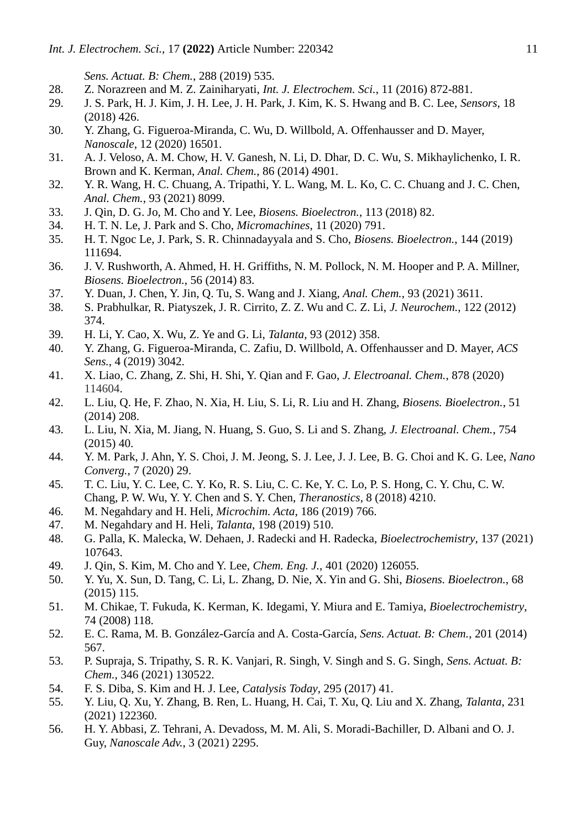*Sens. Actuat. B: Chem.*, 288 (2019) 535.

- 28. Z. Norazreen and M. Z. Zainiharyati, *Int. J. Electrochem. Sci.*, 11 (2016) 872-881.
- 29. J. S. Park, H. J. Kim, J. H. Lee, J. H. Park, J. Kim, K. S. Hwang and B. C. Lee, *Sensors*, 18 (2018) 426.
- 30. Y. Zhang, G. Figueroa-Miranda, C. Wu, D. Willbold, A. Offenhausser and D. Mayer, *Nanoscale*, 12 (2020) 16501.
- 31. A. J. Veloso, A. M. Chow, H. V. Ganesh, N. Li, D. Dhar, D. C. Wu, S. Mikhaylichenko, I. R. Brown and K. Kerman, *Anal. Chem.*, 86 (2014) 4901.
- 32. Y. R. Wang, H. C. Chuang, A. Tripathi, Y. L. Wang, M. L. Ko, C. C. Chuang and J. C. Chen, *Anal. Chem.*, 93 (2021) 8099.
- 33. J. Qin, D. G. Jo, M. Cho and Y. Lee, *Biosens. Bioelectron.*, 113 (2018) 82.
- 34. H. T. N. Le, J. Park and S. Cho, *Micromachines*, 11 (2020) 791.
- 35. H. T. Ngoc Le, J. Park, S. R. Chinnadayyala and S. Cho, *Biosens. Bioelectron.*, 144 (2019) 111694.
- 36. J. V. Rushworth, A. Ahmed, H. H. Griffiths, N. M. Pollock, N. M. Hooper and P. A. Millner, *Biosens. Bioelectron.*, 56 (2014) 83.
- 37. Y. Duan, J. Chen, Y. Jin, Q. Tu, S. Wang and J. Xiang, *Anal. Chem.*, 93 (2021) 3611.
- 38. S. Prabhulkar, R. Piatyszek, J. R. Cirrito, Z. Z. Wu and C. Z. Li, *J. Neurochem.*, 122 (2012) 374.
- 39. H. Li, Y. Cao, X. Wu, Z. Ye and G. Li, *Talanta*, 93 (2012) 358.
- 40. Y. Zhang, G. Figueroa-Miranda, C. Zafiu, D. Willbold, A. Offenhausser and D. Mayer, *ACS Sens.*, 4 (2019) 3042.
- 41. X. Liao, C. Zhang, Z. Shi, H. Shi, Y. Qian and F. Gao, *J. Electroanal. Chem.*, 878 (2020) 114604.
- 42. L. Liu, Q. He, F. Zhao, N. Xia, H. Liu, S. Li, R. Liu and H. Zhang, *Biosens. Bioelectron.*, 51 (2014) 208.
- 43. L. Liu, N. Xia, M. Jiang, N. Huang, S. Guo, S. Li and S. Zhang, *J. Electroanal. Chem.*, 754 (2015) 40.
- 44. Y. M. Park, J. Ahn, Y. S. Choi, J. M. Jeong, S. J. Lee, J. J. Lee, B. G. Choi and K. G. Lee, *Nano Converg.*, 7 (2020) 29.
- 45. T. C. Liu, Y. C. Lee, C. Y. Ko, R. S. Liu, C. C. Ke, Y. C. Lo, P. S. Hong, C. Y. Chu, C. W. Chang, P. W. Wu, Y. Y. Chen and S. Y. Chen, *Theranostics*, 8 (2018) 4210.
- 46. M. Negahdary and H. Heli, *Microchim. Acta*, 186 (2019) 766.
- 47. M. Negahdary and H. Heli, *Talanta*, 198 (2019) 510.
- 48. G. Palla, K. Malecka, W. Dehaen, J. Radecki and H. Radecka, *Bioelectrochemistry*, 137 (2021) 107643.
- 49. J. Qin, S. Kim, M. Cho and Y. Lee, *Chem. Eng. J.*, 401 (2020) 126055.
- 50. Y. Yu, X. Sun, D. Tang, C. Li, L. Zhang, D. Nie, X. Yin and G. Shi, *Biosens. Bioelectron.*, 68 (2015) 115.
- 51. M. Chikae, T. Fukuda, K. Kerman, K. Idegami, Y. Miura and E. Tamiya, *Bioelectrochemistry*, 74 (2008) 118.
- 52. E. C. Rama, M. B. González-García and A. Costa-García, *Sens. Actuat. B: Chem.*, 201 (2014) 567.
- 53. P. Supraja, S. Tripathy, S. R. K. Vanjari, R. Singh, V. Singh and S. G. Singh, *Sens. Actuat. B: Chem.*, 346 (2021) 130522.
- 54. F. S. Diba, S. Kim and H. J. Lee, *Catalysis Today*, 295 (2017) 41.
- 55. Y. Liu, Q. Xu, Y. Zhang, B. Ren, L. Huang, H. Cai, T. Xu, Q. Liu and X. Zhang, *Talanta*, 231 (2021) 122360.
- 56. H. Y. Abbasi, Z. Tehrani, A. Devadoss, M. M. Ali, S. Moradi-Bachiller, D. Albani and O. J. Guy, *Nanoscale Adv.*, 3 (2021) 2295.